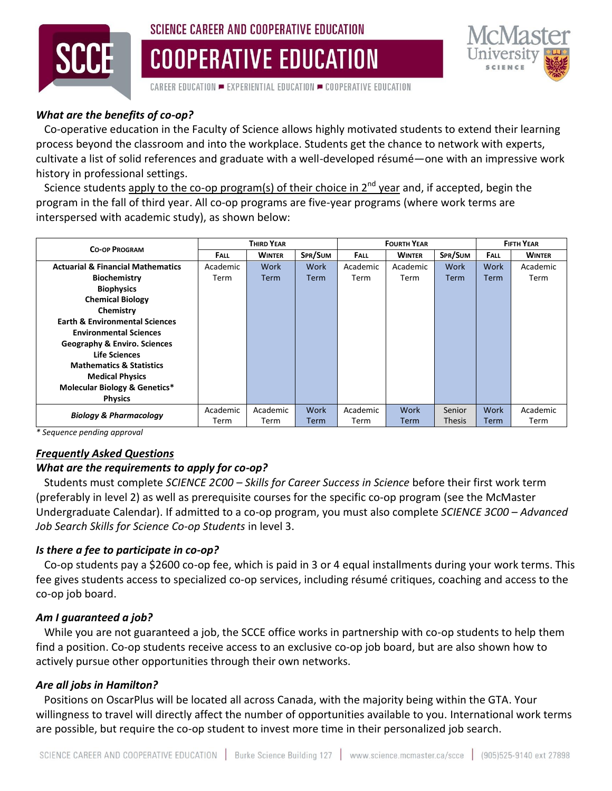

# SCIENCE CAREER AND COOPERATIVE EDUCATION

**COOPERATIVE EDUCATION** 



CAREER EDUCATION  $=$  EXPERIENTIAL EDUCATION  $=$  COOPERATIVE EDUCATION

## *What are the benefits of co-op?*

 Co-operative education in the Faculty of Science allows highly motivated students to extend their learning process beyond the classroom and into the workplace. Students get the chance to network with experts, cultivate a list of solid references and graduate with a well-developed résumé—one with an impressive work history in professional settings.

Science students apply to the co-op program(s) of their choice in  $2^{nd}$  year and, if accepted, begin the program in the fall of third year. All co-op programs are five-year programs (where work terms are interspersed with academic study), as shown below:

| <b>CO-OP PROGRAM</b>                                           | <b>THIRD YEAR</b> |               |             | <b>FOURTH YEAR</b> |               |               | <b>FIFTH YEAR</b> |               |
|----------------------------------------------------------------|-------------------|---------------|-------------|--------------------|---------------|---------------|-------------------|---------------|
|                                                                | <b>FALL</b>       | <b>WINTER</b> | SPR/SUM     | <b>FALL</b>        | <b>WINTER</b> | SPR/SUM       | <b>FALL</b>       | <b>WINTER</b> |
| <b>Actuarial &amp; Financial Mathematics</b>                   | Academic          | Work          | Work        | Academic           | Academic      | Work          | Work              | Academic      |
| <b>Biochemistry</b>                                            | Term              | <b>Term</b>   | <b>Term</b> | Term               | Term          | <b>Term</b>   | <b>Term</b>       | Term          |
| <b>Biophysics</b>                                              |                   |               |             |                    |               |               |                   |               |
| <b>Chemical Biology</b>                                        |                   |               |             |                    |               |               |                   |               |
| Chemistry                                                      |                   |               |             |                    |               |               |                   |               |
| <b>Earth &amp; Environmental Sciences</b>                      |                   |               |             |                    |               |               |                   |               |
| <b>Environmental Sciences</b>                                  |                   |               |             |                    |               |               |                   |               |
| <b>Geography &amp; Enviro. Sciences</b>                        |                   |               |             |                    |               |               |                   |               |
| <b>Life Sciences</b>                                           |                   |               |             |                    |               |               |                   |               |
| <b>Mathematics &amp; Statistics</b>                            |                   |               |             |                    |               |               |                   |               |
| <b>Medical Physics</b>                                         |                   |               |             |                    |               |               |                   |               |
| <b>Molecular Biology &amp; Genetics*</b>                       |                   |               |             |                    |               |               |                   |               |
| <b>Physics</b>                                                 |                   |               |             |                    |               |               |                   |               |
| <b>Biology &amp; Pharmacology</b><br>$\cdot$ .<br>$\mathbf{r}$ | Academic          | Academic      | Work        | Academic           | Work          | Senior        | Work              | Academic      |
|                                                                | Term              | Term          | <b>Term</b> | Term               | Term          | <b>Thesis</b> | Term              | Term          |

*\* Sequence pending approval*

## *Frequently Asked Questions*

#### *What are the requirements to apply for co-op?*

 Students must complete *SCIENCE 2C00 – Skills for Career Success in Science* before their first work term (preferably in level 2) as well as prerequisite courses for the specific co-op program (see the McMaster Undergraduate Calendar). If admitted to a co-op program, you must also complete *SCIENCE 3C00 – Advanced Job Search Skills for Science Co-op Students* in level 3.

#### *Is there a fee to participate in co-op?*

 Co-op students pay a \$2600 co-op fee, which is paid in 3 or 4 equal installments during your work terms. This fee gives students access to specialized co-op services, including résumé critiques, coaching and access to the co-op job board.

#### *Am I guaranteed a job?*

 While you are not guaranteed a job, the SCCE office works in partnership with co-op students to help them find a position. Co-op students receive access to an exclusive co-op job board, but are also shown how to actively pursue other opportunities through their own networks.

#### *Are all jobs in Hamilton?*

 Positions on OscarPlus will be located all across Canada, with the majority being within the GTA. Your willingness to travel will directly affect the number of opportunities available to you. International work terms are possible, but require the co-op student to invest more time in their personalized job search.